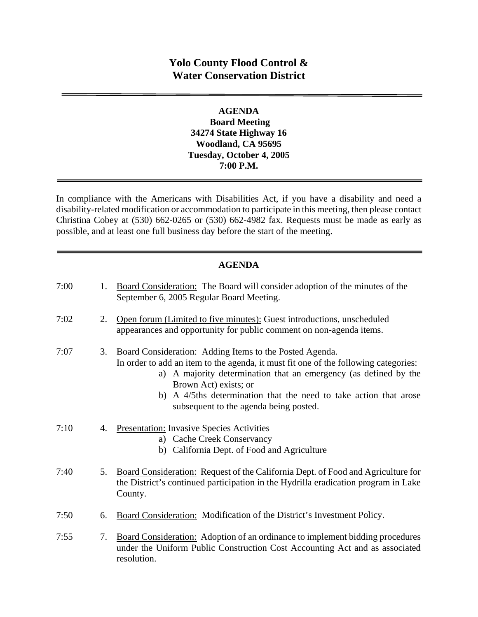# **Yolo County Flood Control & Water Conservation District**

#### **AGENDA Board Meeting 34274 State Highway 16 Woodland, CA 95695 Tuesday, October 4, 2005 7:00 P.M.**

In compliance with the Americans with Disabilities Act, if you have a disability and need a disability-related modification or accommodation to participate in this meeting, then please contact Christina Cobey at (530) 662-0265 or (530) 662-4982 fax. Requests must be made as early as possible, and at least one full business day before the start of the meeting.

#### **AGENDA**

| 7:00 | 1. | Board Consideration: The Board will consider adoption of the minutes of the<br>September 6, 2005 Regular Board Meeting.                                                                                                                                                                                                                                    |
|------|----|------------------------------------------------------------------------------------------------------------------------------------------------------------------------------------------------------------------------------------------------------------------------------------------------------------------------------------------------------------|
| 7:02 | 2. | Open forum (Limited to five minutes): Guest introductions, unscheduled<br>appearances and opportunity for public comment on non-agenda items.                                                                                                                                                                                                              |
| 7:07 | 3. | Board Consideration: Adding Items to the Posted Agenda.<br>In order to add an item to the agenda, it must fit one of the following categories:<br>a) A majority determination that an emergency (as defined by the<br>Brown Act) exists; or<br>b) A 4/5ths determination that the need to take action that arose<br>subsequent to the agenda being posted. |
| 7:10 | 4. | <b>Presentation:</b> Invasive Species Activities<br>a) Cache Creek Conservancy<br>b) California Dept. of Food and Agriculture                                                                                                                                                                                                                              |
| 7:40 | 5. | Board Consideration: Request of the California Dept. of Food and Agriculture for<br>the District's continued participation in the Hydrilla eradication program in Lake<br>County.                                                                                                                                                                          |
| 7:50 | 6. | Board Consideration: Modification of the District's Investment Policy.                                                                                                                                                                                                                                                                                     |
| 7:55 | 7. | <b>Board Consideration:</b> Adoption of an ordinance to implement bidding procedures<br>under the Uniform Public Construction Cost Accounting Act and as associated<br>resolution.                                                                                                                                                                         |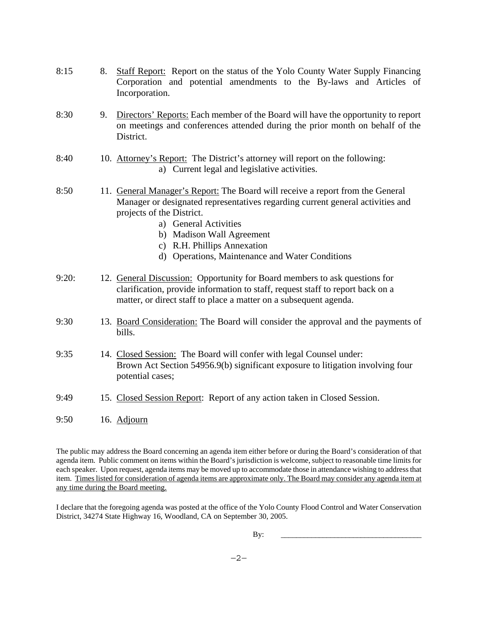| 8:15  | 8. | Staff Report: Report on the status of the Yolo County Water Supply Financing<br>Corporation and potential amendments to the By-laws and Articles of<br>Incorporation.                                                                                                                                                                 |
|-------|----|---------------------------------------------------------------------------------------------------------------------------------------------------------------------------------------------------------------------------------------------------------------------------------------------------------------------------------------|
| 8:30  | 9. | Directors' Reports: Each member of the Board will have the opportunity to report<br>on meetings and conferences attended during the prior month on behalf of the<br>District.                                                                                                                                                         |
| 8:40  |    | 10. Attorney's Report: The District's attorney will report on the following:<br>a) Current legal and legislative activities.                                                                                                                                                                                                          |
| 8:50  |    | 11. General Manager's Report: The Board will receive a report from the General<br>Manager or designated representatives regarding current general activities and<br>projects of the District.<br>a) General Activities<br>b) Madison Wall Agreement<br>c) R.H. Phillips Annexation<br>d) Operations, Maintenance and Water Conditions |
| 9:20: |    | 12. General Discussion: Opportunity for Board members to ask questions for<br>clarification, provide information to staff, request staff to report back on a<br>matter, or direct staff to place a matter on a subsequent agenda.                                                                                                     |
| 9:30  |    | 13. Board Consideration: The Board will consider the approval and the payments of<br>bills.                                                                                                                                                                                                                                           |
| 9:35  |    | 14. Closed Session: The Board will confer with legal Counsel under:<br>Brown Act Section 54956.9(b) significant exposure to litigation involving four<br>potential cases;                                                                                                                                                             |
| 9:49  |    | 15. Closed Session Report: Report of any action taken in Closed Session.                                                                                                                                                                                                                                                              |
| 9:50  |    | 16. Adjourn                                                                                                                                                                                                                                                                                                                           |

The public may address the Board concerning an agenda item either before or during the Board's consideration of that agenda item. Public comment on items within the Board's jurisdiction is welcome, subject to reasonable time limits for each speaker. Upon request, agenda items may be moved up to accommodate those in attendance wishing to address that item. Times listed for consideration of agenda items are approximate only. The Board may consider any agenda item at any time during the Board meeting.

I declare that the foregoing agenda was posted at the office of the Yolo County Flood Control and Water Conservation District, 34274 State Highway 16, Woodland, CA on September 30, 2005.

By: \_\_\_\_\_\_\_\_\_\_\_\_\_\_\_\_\_\_\_\_\_\_\_\_\_\_\_\_\_\_\_\_\_\_\_\_\_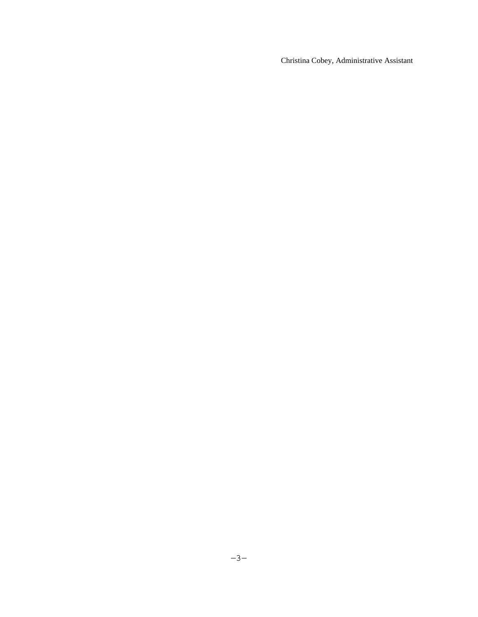Christina Cobey, Administrative Assistant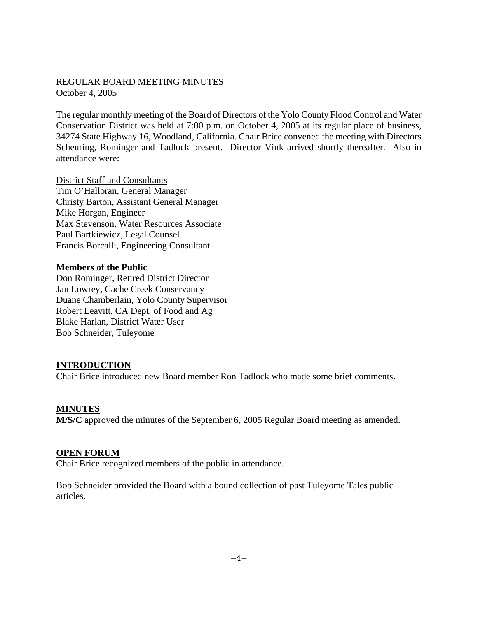#### REGULAR BOARD MEETING MINUTES October 4, 2005

The regular monthly meeting of the Board of Directors of the Yolo County Flood Control and Water Conservation District was held at 7:00 p.m. on October 4, 2005 at its regular place of business, 34274 State Highway 16, Woodland, California. Chair Brice convened the meeting with Directors Scheuring, Rominger and Tadlock present. Director Vink arrived shortly thereafter. Also in attendance were:

District Staff and Consultants Tim O'Halloran, General Manager Christy Barton, Assistant General Manager Mike Horgan, Engineer Max Stevenson, Water Resources Associate Paul Bartkiewicz, Legal Counsel Francis Borcalli, Engineering Consultant

#### **Members of the Public**

Don Rominger, Retired District Director Jan Lowrey, Cache Creek Conservancy Duane Chamberlain, Yolo County Supervisor Robert Leavitt, CA Dept. of Food and Ag Blake Harlan, District Water User Bob Schneider, Tuleyome

#### **INTRODUCTION**

Chair Brice introduced new Board member Ron Tadlock who made some brief comments.

#### **MINUTES**

**M/S/C** approved the minutes of the September 6, 2005 Regular Board meeting as amended.

#### **OPEN FORUM**

Chair Brice recognized members of the public in attendance.

Bob Schneider provided the Board with a bound collection of past Tuleyome Tales public articles.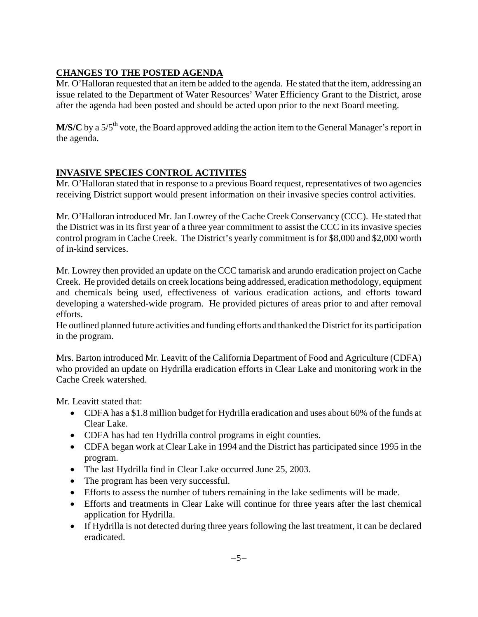# **CHANGES TO THE POSTED AGENDA**

Mr. O'Halloran requested that an item be added to the agenda. He stated that the item, addressing an issue related to the Department of Water Resources' Water Efficiency Grant to the District, arose after the agenda had been posted and should be acted upon prior to the next Board meeting.

**M/S/C** by a  $5/5$ <sup>th</sup> vote, the Board approved adding the action item to the General Manager's report in the agenda.

# **INVASIVE SPECIES CONTROL ACTIVITES**

Mr. O'Halloran stated that in response to a previous Board request, representatives of two agencies receiving District support would present information on their invasive species control activities.

Mr. O'Halloran introduced Mr. Jan Lowrey of the Cache Creek Conservancy (CCC). He stated that the District was in its first year of a three year commitment to assist the CCC in its invasive species control program in Cache Creek. The District's yearly commitment is for \$8,000 and \$2,000 worth of in-kind services.

Mr. Lowrey then provided an update on the CCC tamarisk and arundo eradication project on Cache Creek. He provided details on creek locations being addressed, eradication methodology, equipment and chemicals being used, effectiveness of various eradication actions, and efforts toward developing a watershed-wide program. He provided pictures of areas prior to and after removal efforts.

He outlined planned future activities and funding efforts and thanked the District for its participation in the program.

Mrs. Barton introduced Mr. Leavitt of the California Department of Food and Agriculture (CDFA) who provided an update on Hydrilla eradication efforts in Clear Lake and monitoring work in the Cache Creek watershed.

Mr. Leavitt stated that:

- CDFA has a \$1.8 million budget for Hydrilla eradication and uses about 60% of the funds at Clear Lake.
- CDFA has had ten Hydrilla control programs in eight counties.
- CDFA began work at Clear Lake in 1994 and the District has participated since 1995 in the program.
- The last Hydrilla find in Clear Lake occurred June 25, 2003.
- The program has been very successful.
- Efforts to assess the number of tubers remaining in the lake sediments will be made.
- Efforts and treatments in Clear Lake will continue for three years after the last chemical application for Hydrilla.
- If Hydrilla is not detected during three years following the last treatment, it can be declared eradicated.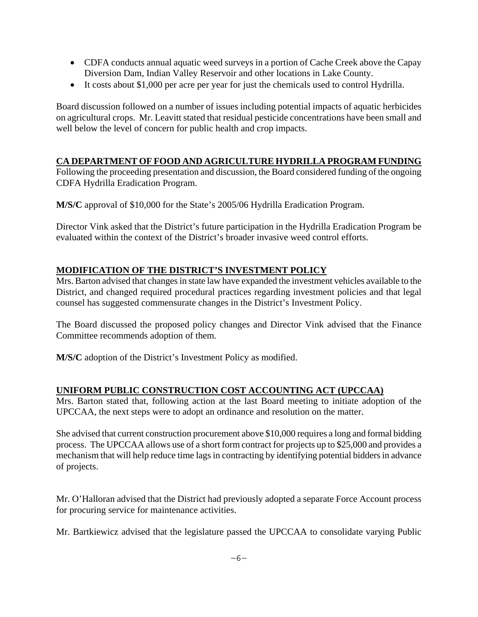- CDFA conducts annual aquatic weed surveys in a portion of Cache Creek above the Capay Diversion Dam, Indian Valley Reservoir and other locations in Lake County.
- It costs about \$1,000 per acre per year for just the chemicals used to control Hydrilla.

Board discussion followed on a number of issues including potential impacts of aquatic herbicides on agricultural crops. Mr. Leavitt stated that residual pesticide concentrations have been small and well below the level of concern for public health and crop impacts.

# **CA DEPARTMENT OF FOOD AND AGRICULTURE HYDRILLA PROGRAM FUNDING**

Following the proceeding presentation and discussion, the Board considered funding of the ongoing CDFA Hydrilla Eradication Program.

**M/S/C** approval of \$10,000 for the State's 2005/06 Hydrilla Eradication Program.

Director Vink asked that the District's future participation in the Hydrilla Eradication Program be evaluated within the context of the District's broader invasive weed control efforts.

# **MODIFICATION OF THE DISTRICT'S INVESTMENT POLICY**

Mrs. Barton advised that changes in state law have expanded the investment vehicles available to the District, and changed required procedural practices regarding investment policies and that legal counsel has suggested commensurate changes in the District's Investment Policy.

The Board discussed the proposed policy changes and Director Vink advised that the Finance Committee recommends adoption of them.

**M/S/C** adoption of the District's Investment Policy as modified.

#### **UNIFORM PUBLIC CONSTRUCTION COST ACCOUNTING ACT (UPCCAA)**

Mrs. Barton stated that, following action at the last Board meeting to initiate adoption of the UPCCAA, the next steps were to adopt an ordinance and resolution on the matter.

She advised that current construction procurement above \$10,000 requires a long and formal bidding process. The UPCCAA allows use of a short form contract for projects up to \$25,000 and provides a mechanism that will help reduce time lags in contracting by identifying potential bidders in advance of projects.

Mr. O'Halloran advised that the District had previously adopted a separate Force Account process for procuring service for maintenance activities.

Mr. Bartkiewicz advised that the legislature passed the UPCCAA to consolidate varying Public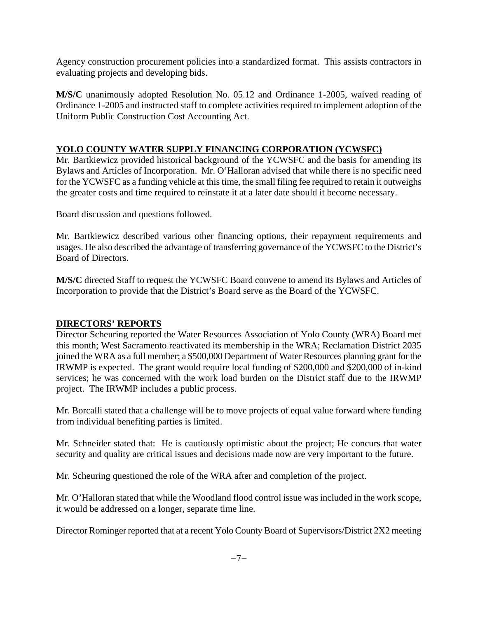Agency construction procurement policies into a standardized format. This assists contractors in evaluating projects and developing bids.

**M/S/C** unanimously adopted Resolution No. 05.12 and Ordinance 1-2005, waived reading of Ordinance 1-2005 and instructed staff to complete activities required to implement adoption of the Uniform Public Construction Cost Accounting Act.

# **YOLO COUNTY WATER SUPPLY FINANCING CORPORATION (YCWSFC)**

Mr. Bartkiewicz provided historical background of the YCWSFC and the basis for amending its Bylaws and Articles of Incorporation. Mr. O'Halloran advised that while there is no specific need for the YCWSFC as a funding vehicle at this time, the small filing fee required to retain it outweighs the greater costs and time required to reinstate it at a later date should it become necessary.

Board discussion and questions followed.

Mr. Bartkiewicz described various other financing options, their repayment requirements and usages. He also described the advantage of transferring governance of the YCWSFC to the District's Board of Directors.

**M/S/C** directed Staff to request the YCWSFC Board convene to amend its Bylaws and Articles of Incorporation to provide that the District's Board serve as the Board of the YCWSFC.

#### **DIRECTORS' REPORTS**

Director Scheuring reported the Water Resources Association of Yolo County (WRA) Board met this month; West Sacramento reactivated its membership in the WRA; Reclamation District 2035 joined the WRA as a full member; a \$500,000 Department of Water Resources planning grant for the IRWMP is expected. The grant would require local funding of \$200,000 and \$200,000 of in-kind services; he was concerned with the work load burden on the District staff due to the IRWMP project. The IRWMP includes a public process.

Mr. Borcalli stated that a challenge will be to move projects of equal value forward where funding from individual benefiting parties is limited.

Mr. Schneider stated that: He is cautiously optimistic about the project; He concurs that water security and quality are critical issues and decisions made now are very important to the future.

Mr. Scheuring questioned the role of the WRA after and completion of the project.

Mr. O'Halloran stated that while the Woodland flood control issue was included in the work scope, it would be addressed on a longer, separate time line.

Director Rominger reported that at a recent Yolo County Board of Supervisors/District 2X2 meeting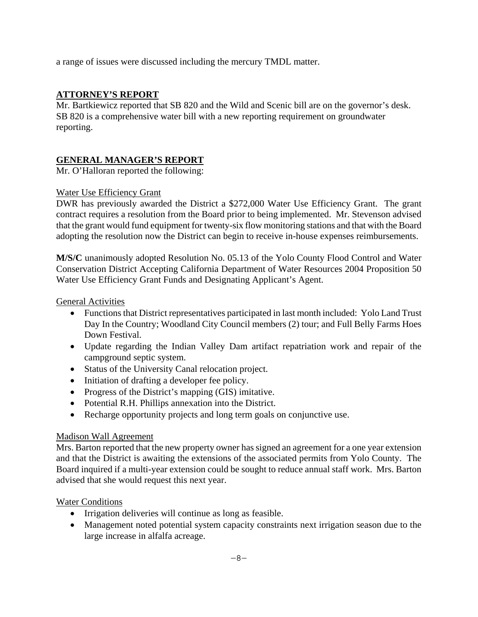a range of issues were discussed including the mercury TMDL matter.

#### **ATTORNEY'S REPORT**

Mr. Bartkiewicz reported that SB 820 and the Wild and Scenic bill are on the governor's desk. SB 820 is a comprehensive water bill with a new reporting requirement on groundwater reporting.

# **GENERAL MANAGER'S REPORT**

Mr. O'Halloran reported the following:

#### Water Use Efficiency Grant

DWR has previously awarded the District a \$272,000 Water Use Efficiency Grant. The grant contract requires a resolution from the Board prior to being implemented. Mr. Stevenson advised that the grant would fund equipment for twenty-six flow monitoring stations and that with the Board adopting the resolution now the District can begin to receive in-house expenses reimbursements.

**M/S/C** unanimously adopted Resolution No. 05.13 of the Yolo County Flood Control and Water Conservation District Accepting California Department of Water Resources 2004 Proposition 50 Water Use Efficiency Grant Funds and Designating Applicant's Agent.

General Activities

- Functions that District representatives participated in last month included: Yolo Land Trust Day In the Country; Woodland City Council members (2) tour; and Full Belly Farms Hoes Down Festival.
- Update regarding the Indian Valley Dam artifact repatriation work and repair of the campground septic system.
- Status of the University Canal relocation project.
- Initiation of drafting a developer fee policy.
- Progress of the District's mapping (GIS) imitative.
- Potential R.H. Phillips annexation into the District.
- Recharge opportunity projects and long term goals on conjunctive use.

#### Madison Wall Agreement

Mrs. Barton reported that the new property owner has signed an agreement for a one year extension and that the District is awaiting the extensions of the associated permits from Yolo County. The Board inquired if a multi-year extension could be sought to reduce annual staff work. Mrs. Barton advised that she would request this next year.

#### Water Conditions

- Irrigation deliveries will continue as long as feasible.
- Management noted potential system capacity constraints next irrigation season due to the large increase in alfalfa acreage.